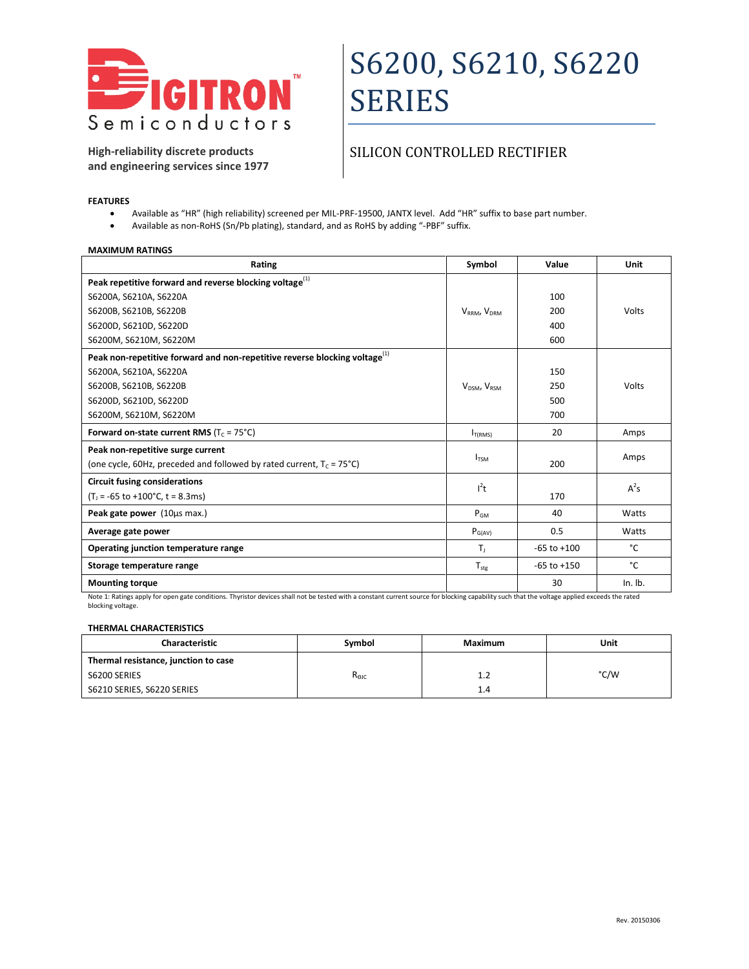

**High-reliability discrete products and engineering services since 1977**

### SILICON CONTROLLED RECTIFIER

#### **FEATURES**

- Available as "HR" (high reliability) screened per MIL-PRF-19500, JANTX level. Add "HR" suffix to base part number.
- Available as non-RoHS (Sn/Pb plating), standard, and as RoHS by adding "-PBF" suffix.

#### **MAXIMUM RATINGS**

| Rating                                                                                 | Symbol                | Value           | Unit      |
|----------------------------------------------------------------------------------------|-----------------------|-----------------|-----------|
| Peak repetitive forward and reverse blocking voltage <sup>(1)</sup>                    |                       |                 |           |
| S6200A, S6210A, S6220A                                                                 |                       | 100             |           |
| S6200B, S6210B, S6220B                                                                 | $V_{RRM}$ , $V_{DRM}$ | 200             | Volts     |
| S6200D, S6210D, S6220D                                                                 |                       | 400             |           |
| S6200M, S6210M, S6220M                                                                 |                       | 600             |           |
| Peak non-repetitive forward and non-repetitive reverse blocking voltage <sup>(1)</sup> |                       |                 |           |
| S6200A, S6210A, S6220A                                                                 |                       | 150             |           |
| S6200B, S6210B, S6220B                                                                 | $V_{DSM}$ , $V_{RSM}$ | 250             | Volts     |
| S6200D, S6210D, S6220D                                                                 |                       | 500             |           |
| S6200M, S6210M, S6220M                                                                 |                       | 700             |           |
| Forward on-state current RMS ( $T_c = 75^{\circ}$ C)                                   | I <sub>T(RMS)</sub>   | 20              | Amps      |
| Peak non-repetitive surge current                                                      |                       |                 |           |
| (one cycle, 60Hz, preceded and followed by rated current, $T_c = 75^{\circ}$ C)        | $I_{TSM}$             | 200             | Amps      |
| <b>Circuit fusing considerations</b>                                                   | $l^2t$                |                 | $A^2s$    |
| $(T_1 = -65$ to $+100$ °C, t = 8.3ms)                                                  |                       | 170             |           |
| Peak gate power (10µs max.)                                                            | $P_{GM}$              | 40              | Watts     |
| Average gate power                                                                     | $P_{G(AV)}$           | 0.5             | Watts     |
| Operating junction temperature range                                                   | T,                    | $-65$ to $+100$ | °C        |
| Storage temperature range                                                              | $T_{\text{stg}}$      | $-65$ to $+150$ | °C        |
| <b>Mounting torque</b>                                                                 |                       | 30              | $In.$ Ib. |

Note 1: Ratings apply for open gate conditions. Thyristor devices shall not be tested with a constant current source for blocking capability such that the voltage applied exceeds the rated blocking voltage.

#### **THERMAL CHARACTERISTICS**

| <b>Characteristic</b>                | Symbol         | Maximum | Unit |
|--------------------------------------|----------------|---------|------|
| Thermal resistance, junction to case |                |         |      |
| S6200 SERIES                         | $R_{\Theta$ JC | 1.2     | °C/W |
| S6210 SERIES, S6220 SERIES           |                | 1.4     |      |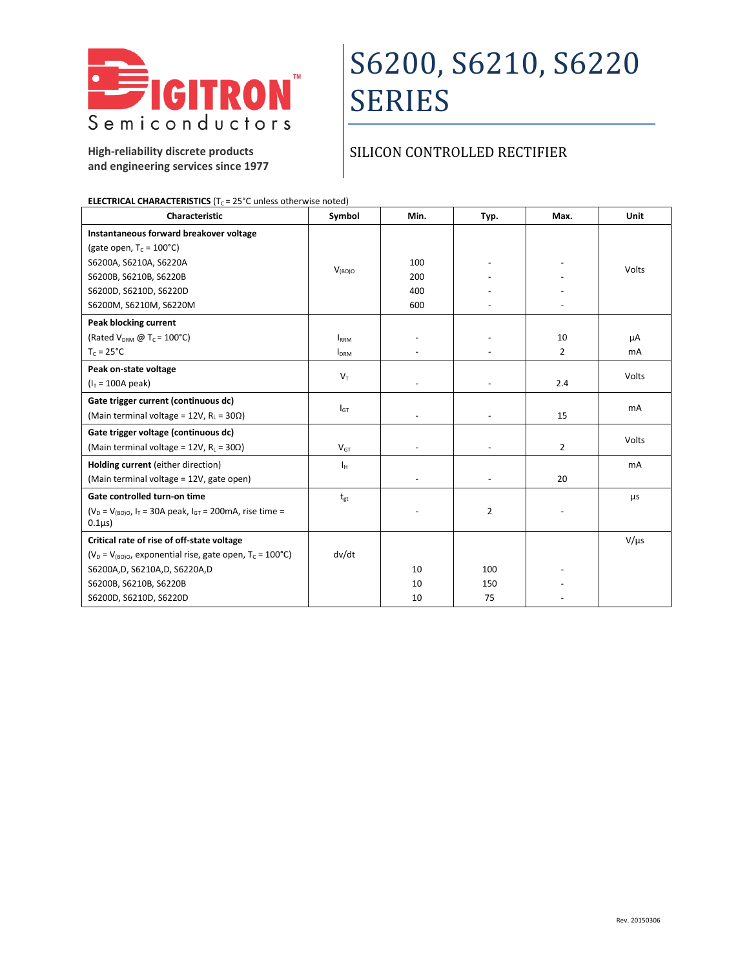

**High-reliability discrete products and engineering services since 1977**

### SILICON CONTROLLED RECTIFIER

| Characteristic                                                                      | Symbol           | Min. | Typ.           | Max.           | Unit      |
|-------------------------------------------------------------------------------------|------------------|------|----------------|----------------|-----------|
| Instantaneous forward breakover voltage                                             |                  |      |                |                |           |
| (gate open, $T_c = 100^{\circ}C$ )                                                  |                  |      |                |                |           |
| S6200A, S6210A, S6220A                                                              | $V_{(BO)O}$      | 100  |                |                | Volts     |
| S6200B, S6210B, S6220B                                                              |                  | 200  |                |                |           |
| S6200D, S6210D, S6220D                                                              |                  | 400  |                |                |           |
| S6200M, S6210M, S6220M                                                              |                  | 600  |                |                |           |
| Peak blocking current                                                               |                  |      |                |                |           |
| (Rated $V_{DRM}$ @ T <sub>C</sub> = 100°C)                                          | <b>IRRM</b>      |      |                | 10             | μA        |
| $T_c = 25^{\circ}C$                                                                 | I <sub>DRM</sub> |      |                | $\overline{2}$ | mA        |
| Peak on-state voltage                                                               |                  |      |                |                | Volts     |
| $(I_T = 100A peak)$                                                                 | $V_T$            |      |                | 2.4            |           |
| Gate trigger current (continuous dc)                                                |                  |      |                |                |           |
| (Main terminal voltage = 12V, $R_L$ = 30 $\Omega$ )                                 | $I_{GT}$         |      |                | 15             | <b>mA</b> |
| Gate trigger voltage (continuous dc)                                                |                  |      |                |                | Volts     |
| (Main terminal voltage = 12V, $R_L = 30\Omega$ )                                    | $V_{GT}$         |      |                | $\overline{2}$ |           |
| Holding current (either direction)                                                  | Iн               |      |                |                | mA        |
| (Main terminal voltage = 12V, gate open)                                            |                  |      |                | 20             |           |
| Gate controlled turn-on time                                                        | $t_{gt}$         |      |                |                | μs        |
| $(V_D = V_{(B0)O}$ , $I_T = 30A$ peak, $I_{GT} = 200$ mA, rise time =<br>$0.1\mu s$ |                  |      | $\overline{2}$ |                |           |
| Critical rate of rise of off-state voltage                                          |                  |      |                |                | $V/\mu s$ |
| ( $V_D = V_{(B0)O}$ , exponential rise, gate open, $T_C = 100^{\circ}C$ )           | dv/dt            |      |                |                |           |
| S6200A, D, S6210A, D, S6220A, D                                                     |                  | 10   | 100            |                |           |
| S6200B, S6210B, S6220B                                                              |                  | 10   | 150            |                |           |
| S6200D, S6210D, S6220D                                                              |                  | 10   | 75             |                |           |

**ELECTRICAL CHARACTERISTICS** (T<sub>C</sub> = 25°C unless otherwise noted)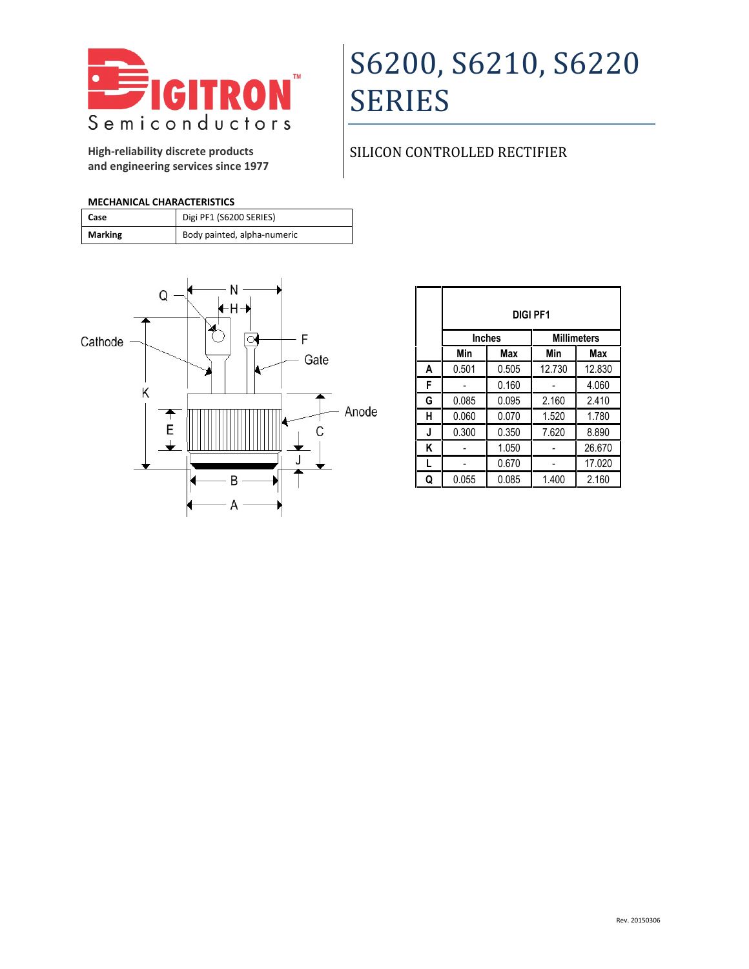

**High-reliability discrete products and engineering services since 1977**

## SILICON CONTROLLED RECTIFIER

### **MECHANICAL CHARACTERISTICS**

| Case    | Digi PF1 (S6200 SERIES)     |
|---------|-----------------------------|
| Marking | Body painted, alpha-numeric |



|   | <b>DIGI PF1</b> |       |                    |        |
|---|-----------------|-------|--------------------|--------|
|   | <b>Inches</b>   |       | <b>Millimeters</b> |        |
|   | Min             | Max   | Min                | Max    |
| A | 0.501           | 0.505 | 12.730             | 12.830 |
| F |                 | 0.160 |                    | 4.060  |
| G | 0.085           | 0.095 | 2.160              | 2.410  |
| н | 0.060           | 0.070 | 1.520              | 1.780  |
| J | 0.300           | 0.350 | 7.620              | 8.890  |
| Κ |                 | 1.050 |                    | 26.670 |
| L |                 | 0.670 |                    | 17.020 |
| Q | 0.055           | 0.085 | 1.400              | 2.160  |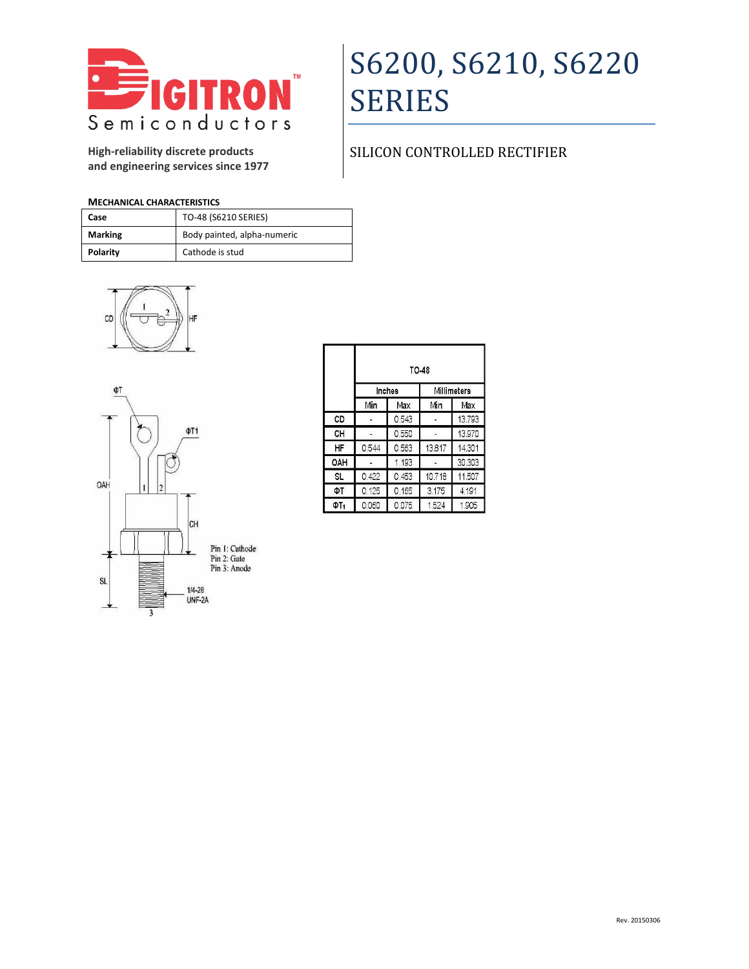

**High-reliability discrete products and engineering services since 1977**

### SILICON CONTROLLED RECTIFIER

### **MECHANICAL CHARACTERISTICS**

| Case           | TO-48 (S6210 SERIES)        |
|----------------|-----------------------------|
| <b>Marking</b> | Body painted, alpha-numeric |
| Polarity       | Cathode is stud             |





|     |       |        | <b>TO-48</b> |             |  |  |
|-----|-------|--------|--------------|-------------|--|--|
|     |       | Inches |              | Millimeters |  |  |
|     | Min   | Max    | Min          | Max         |  |  |
| CD  |       | 0.543  |              | 13.793      |  |  |
| CН  |       | 0.550  |              | 13.970      |  |  |
| ΗF  | 0.544 | 0.563  | 13.817       | 14.301      |  |  |
| OAH |       | 1.193  |              | 30.303      |  |  |
| SL. | 0.422 | 0.453  | 10.718       | 11.507      |  |  |
| ФТ  | 0.125 | 0.165  | 3.175        | 4.191       |  |  |
| ΦT, | 0.060 | 0.075  | 1.524        | 1,905       |  |  |